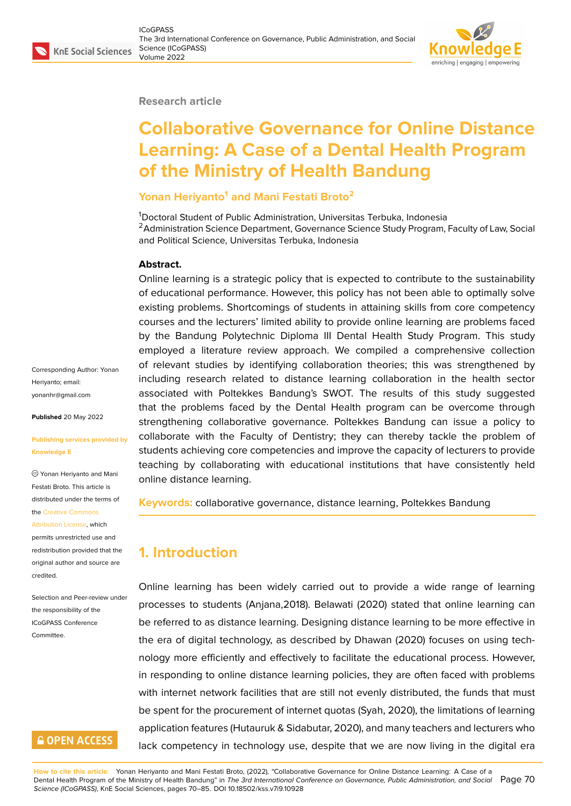#### **Research article**

# **Collaborative Governance for Online Distance Learning: A Case of a Dental Health Program of the Ministry of Health Bandung**

## **Yonan Heriyanto<sup>1</sup> and Mani Festati Broto<sup>2</sup>**

<sup>1</sup>Doctoral Student of Public Administration, Universitas Terbuka, Indonesia <sup>2</sup> Administration Science Department, Governance Science Study Program, Faculty of Law, Social and Political Science, Universitas Terbuka, Indonesia

#### **Abstract.**

Online learning is a strategic policy that is expected to contribute to the sustainability of educational performance. However, this policy has not been able to optimally solve existing problems. Shortcomings of students in attaining skills from core competency courses and the lecturers' limited ability to provide online learning are problems faced by the Bandung Polytechnic Diploma III Dental Health Study Program. This study employed a literature review approach. We compiled a comprehensive collection of relevant studies by identifying collaboration theories; this was strengthened by including research related to distance learning collaboration in the health sector associated with Poltekkes Bandung's SWOT. The results of this study suggested that the problems faced by the Dental Health program can be overcome through strengthening collaborative governance. Poltekkes Bandung can issue a policy to collaborate with the Faculty of Dentistry; they can thereby tackle the problem of students achieving core competencies and improve the capacity of lecturers to provide teaching by collaborating with educational institutions that have consistently held online distance learning.

**Keywords:** collaborative governance, distance learning, Poltekkes Bandung

# **1. Introduction**

Online learning has been widely carried out to provide a wide range of learning processes to students (Anjana,2018). Belawati (2020) stated that online learning can be referred to as distance learning. Designing distance learning to be more effective in the era of digital technology, as described by Dhawan (2020) focuses on using technology more efficiently and effectively to facilitate the educational process. However, in responding to online distance learning policies, they are often faced with problems with internet network facilities that are still not evenly distributed, the funds that must be spent for the procurement of internet quotas (Syah, 2020), the limitations of learning application features (Hutauruk & Sidabutar, 2020), and many teachers and lecturers who lack competency in technology use, despite that we are now living in the digital era

Corresponding Author: Yonan Heriyanto; email: yonanhr@gmail.com

**Published** 20 May 2022

#### **[Publishing services](mailto:yonanhr@gmail.com) provided by Knowledge E**

Yonan Heriyanto and Mani Festati Broto. This article is distributed under the terms of the Creative Commons

Attribution License, which

permits unrestricted use and redistribution provided that the orig[inal author and sou](https://creativecommons.org/licenses/by/4.0/)rce are [credited.](https://creativecommons.org/licenses/by/4.0/)

Selection and Peer-review under the responsibility of the ICoGPASS Conference Committee.

# **GOPEN ACCESS**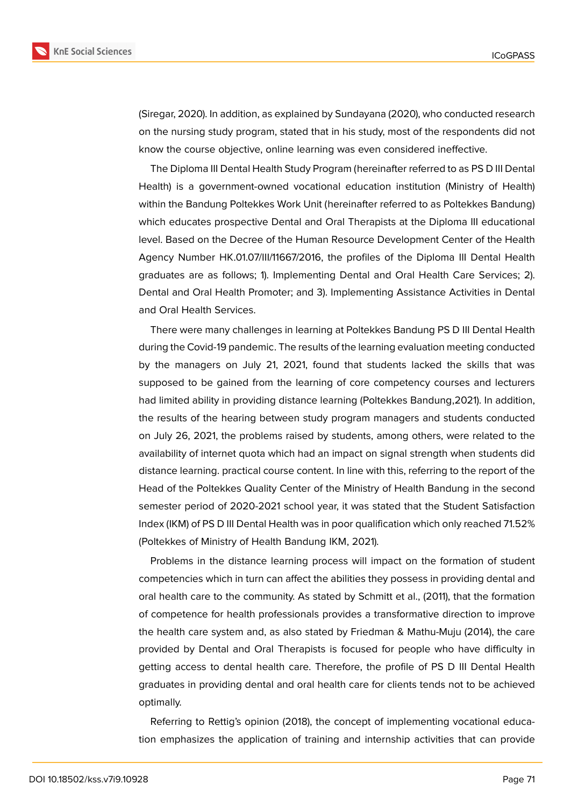

(Siregar, 2020). In addition, as explained by Sundayana (2020), who conducted research on the nursing study program, stated that in his study, most of the respondents did not know the course objective, online learning was even considered ineffective.

The Diploma III Dental Health Study Program (hereinafter referred to as PS D III Dental Health) is a government-owned vocational education institution (Ministry of Health) within the Bandung Poltekkes Work Unit (hereinafter referred to as Poltekkes Bandung) which educates prospective Dental and Oral Therapists at the Diploma III educational level. Based on the Decree of the Human Resource Development Center of the Health Agency Number HK.01.07/III/11667/2016, the profiles of the Diploma III Dental Health graduates are as follows; 1). Implementing Dental and Oral Health Care Services; 2). Dental and Oral Health Promoter; and 3). Implementing Assistance Activities in Dental and Oral Health Services.

There were many challenges in learning at Poltekkes Bandung PS D III Dental Health during the Covid-19 pandemic. The results of the learning evaluation meeting conducted by the managers on July 21, 2021, found that students lacked the skills that was supposed to be gained from the learning of core competency courses and lecturers had limited ability in providing distance learning (Poltekkes Bandung,2021). In addition, the results of the hearing between study program managers and students conducted on July 26, 2021, the problems raised by students, among others, were related to the availability of internet quota which had an impact on signal strength when students did distance learning. practical course content. In line with this, referring to the report of the Head of the Poltekkes Quality Center of the Ministry of Health Bandung in the second semester period of 2020-2021 school year, it was stated that the Student Satisfaction Index (IKM) of PS D III Dental Health was in poor qualification which only reached 71.52% (Poltekkes of Ministry of Health Bandung IKM, 2021).

Problems in the distance learning process will impact on the formation of student competencies which in turn can affect the abilities they possess in providing dental and oral health care to the community. As stated by Schmitt et al., (2011), that the formation of competence for health professionals provides a transformative direction to improve the health care system and, as also stated by Friedman & Mathu-Muju (2014), the care provided by Dental and Oral Therapists is focused for people who have difficulty in getting access to dental health care. Therefore, the profile of PS D III Dental Health graduates in providing dental and oral health care for clients tends not to be achieved optimally.

Referring to Rettig's opinion (2018), the concept of implementing vocational education emphasizes the application of training and internship activities that can provide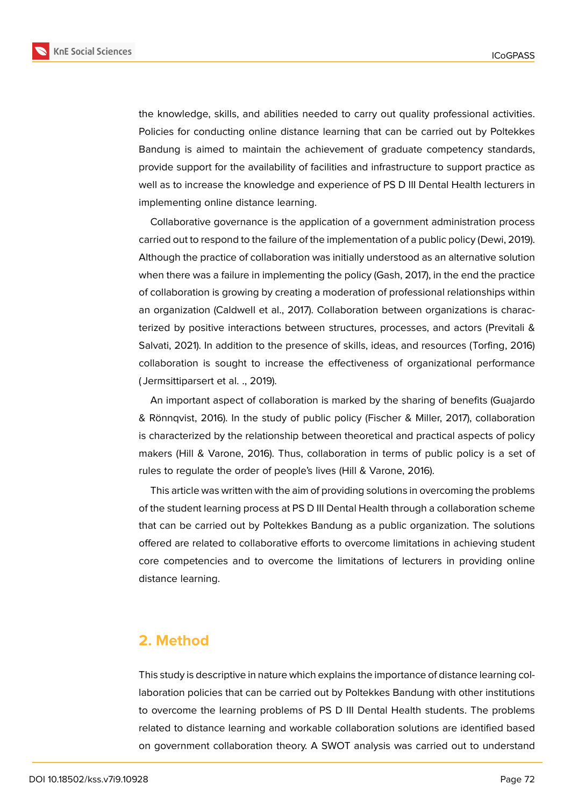

**KnE Social Sciences** 

the knowledge, skills, and abilities needed to carry out quality professional activities. Policies for conducting online distance learning that can be carried out by Poltekkes Bandung is aimed to maintain the achievement of graduate competency standards, provide support for the availability of facilities and infrastructure to support practice as well as to increase the knowledge and experience of PS D III Dental Health lecturers in implementing online distance learning.

Collaborative governance is the application of a government administration process carried out to respond to the failure of the implementation of a public policy (Dewi, 2019). Although the practice of collaboration was initially understood as an alternative solution when there was a failure in implementing the policy (Gash, 2017), in the end the practice of collaboration is growing by creating a moderation of professional relationships within an organization (Caldwell et al., 2017). Collaboration between organizations is characterized by positive interactions between structures, processes, and actors (Previtali & Salvati, 2021). In addition to the presence of skills, ideas, and resources (Torfing, 2016) collaboration is sought to increase the effectiveness of organizational performance ( Jermsittiparsert et al. ., 2019).

An important aspect of collaboration is marked by the sharing of benefits (Guajardo & Rönnqvist, 2016). In the study of public policy (Fischer & Miller, 2017), collaboration is characterized by the relationship between theoretical and practical aspects of policy makers (Hill & Varone, 2016). Thus, collaboration in terms of public policy is a set of rules to regulate the order of people's lives (Hill & Varone, 2016).

This article was written with the aim of providing solutions in overcoming the problems of the student learning process at PS D III Dental Health through a collaboration scheme that can be carried out by Poltekkes Bandung as a public organization. The solutions offered are related to collaborative efforts to overcome limitations in achieving student core competencies and to overcome the limitations of lecturers in providing online distance learning.

## **2. Method**

This study is descriptive in nature which explains the importance of distance learning collaboration policies that can be carried out by Poltekkes Bandung with other institutions to overcome the learning problems of PS D III Dental Health students. The problems related to distance learning and workable collaboration solutions are identified based on government collaboration theory. A SWOT analysis was carried out to understand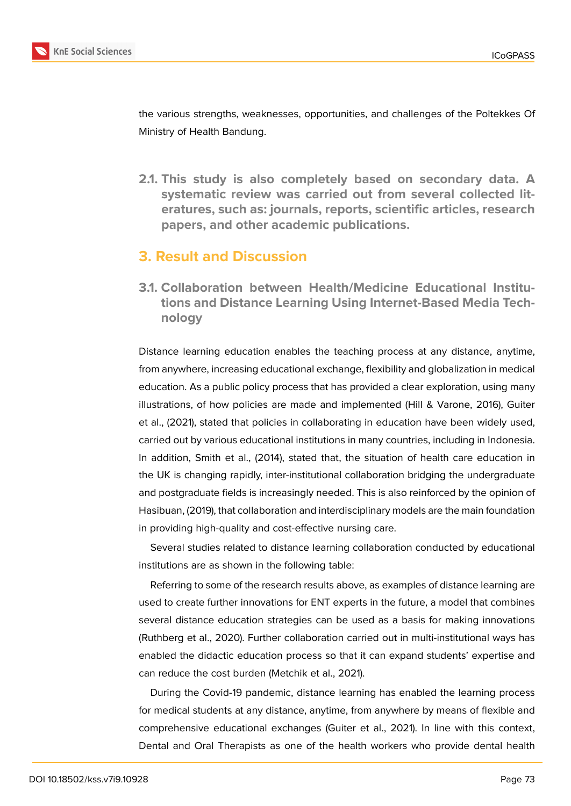

the various strengths, weaknesses, opportunities, and challenges of the Poltekkes Of Ministry of Health Bandung.

**2.1. This study is also completely based on secondary data. A systematic review was carried out from several collected literatures, such as: journals, reports, scientific articles, research papers, and other academic publications.**

## **3. Result and Discussion**

**3.1. Collaboration between Health/Medicine Educational Institutions and Distance Learning Using Internet-Based Media Technology**

Distance learning education enables the teaching process at any distance, anytime, from anywhere, increasing educational exchange, flexibility and globalization in medical education. As a public policy process that has provided a clear exploration, using many illustrations, of how policies are made and implemented (Hill & Varone, 2016), Guiter et al., (2021), stated that policies in collaborating in education have been widely used, carried out by various educational institutions in many countries, including in Indonesia. In addition, Smith et al., (2014), stated that, the situation of health care education in the UK is changing rapidly, inter-institutional collaboration bridging the undergraduate and postgraduate fields is increasingly needed. This is also reinforced by the opinion of Hasibuan, (2019), that collaboration and interdisciplinary models are the main foundation in providing high-quality and cost-effective nursing care.

Several studies related to distance learning collaboration conducted by educational institutions are as shown in the following table:

Referring to some of the research results above, as examples of distance learning are used to create further innovations for ENT experts in the future, a model that combines several distance education strategies can be used as a basis for making innovations (Ruthberg et al., 2020). Further collaboration carried out in multi-institutional ways has enabled the didactic education process so that it can expand students' expertise and can reduce the cost burden (Metchik et al., 2021).

During the Covid-19 pandemic, distance learning has enabled the learning process for medical students at any distance, anytime, from anywhere by means of flexible and comprehensive educational exchanges (Guiter et al., 2021). In line with this context, Dental and Oral Therapists as one of the health workers who provide dental health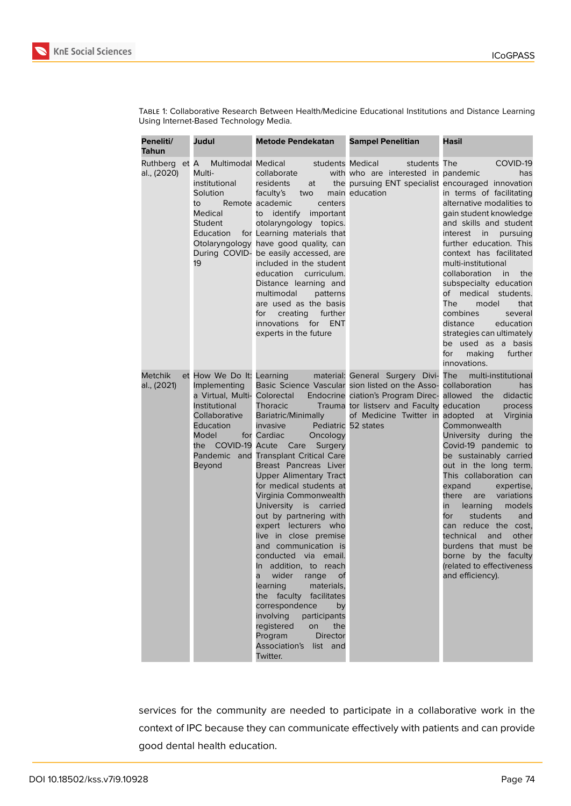

| _<br>- 33                          |  |
|------------------------------------|--|
|                                    |  |
| ٠<br>$\overline{\mathcal{L}}$<br>× |  |
|                                    |  |
|                                    |  |

| TABLE 1: Collaborative Research Between Health/Medicine Educational Institutions and Distance Learning |  |  |  |
|--------------------------------------------------------------------------------------------------------|--|--|--|
| Using Internet-Based Technology Media.                                                                 |  |  |  |

| Peneliti/<br>Tahun            | Judul                                                                                                                                       | <b>Metode Pendekatan</b>                                                                                                                                                                                                                                                                                                                                                                                                                                                                                                                                                                                                                                                      | <b>Sampel Penelitian</b>                                                                                                                                                                                             | Hasil                                                                                                                                                                                                                                                                                                                                                                                                                                                                                                                       |
|-------------------------------|---------------------------------------------------------------------------------------------------------------------------------------------|-------------------------------------------------------------------------------------------------------------------------------------------------------------------------------------------------------------------------------------------------------------------------------------------------------------------------------------------------------------------------------------------------------------------------------------------------------------------------------------------------------------------------------------------------------------------------------------------------------------------------------------------------------------------------------|----------------------------------------------------------------------------------------------------------------------------------------------------------------------------------------------------------------------|-----------------------------------------------------------------------------------------------------------------------------------------------------------------------------------------------------------------------------------------------------------------------------------------------------------------------------------------------------------------------------------------------------------------------------------------------------------------------------------------------------------------------------|
| Ruthberg et A<br>al., (2020)  | Multi-<br>institutional<br>Solution<br>to<br>Medical<br>Student<br><b>Education</b><br>19                                                   | Multimodal Medical<br>students Medical<br>collaborate<br>residents<br>faculty's<br>two<br>Remote academic<br>centers<br>to identify important<br>otolaryngology topics.<br>for Learning materials that<br>Otolaryngology have good quality, can<br>During COVID- be easily accessed, are<br>included in the student<br>education curriculum.<br>Distance learning and<br>multimodal<br>patterns<br>are used as the basis<br>for<br>creating further<br>innovations for ENT<br>experts in the future                                                                                                                                                                           | students The<br>with who are interested in pandemic<br>at the pursuing ENT specialist encouraged innovation<br>main education                                                                                        | COVID-19<br>has<br>in terms of facilitating<br>alternative modalities to<br>gain student knowledge<br>and skills and student<br>interest in pursuing<br>further education. This<br>context has facilitated<br>multi-institutional<br>collaboration in the<br>subspecialty education<br>of medical students.<br>The<br>model<br>that<br>combines<br>several<br>distance<br>education<br>strategies can ultimately<br>be used as a basis<br>for<br>making<br>further<br>innovations.                                          |
| <b>Metchik</b><br>al., (2021) | et How We Do It: Learning<br>Implementing<br>a Virtual, Multi- Colorectal<br>Institutional<br>Collaborative<br>Education<br>Model<br>Beyond | <b>Thoracic</b><br>Bariatric/Minimally<br>invasive<br>for Cardiac<br>Oncology<br>the COVID-19 Acute Care Surgery<br>Pandemic and Transplant Critical Care<br>Breast Pancreas Liver<br><b>Upper Alimentary Tract</b><br>for medical students at<br>Virginia Commonwealth<br>University is carried<br>out by partnering with<br>expert lecturers who<br>live in close premise<br>and communication is<br>conducted via email.<br>In addition, to reach<br>wider range of<br>a<br>learning<br>materials,<br>the faculty facilitates<br>correspondence<br>by<br>involving<br>participants<br>registered<br>on<br>the<br>Program<br>Director<br>Association's list and<br>Twitter. | material: General Surgery Divi-<br>Basic Science Vascular sion listed on the Asso-<br>Endocrine ciation's Program Direc-<br>Trauma tor listserv and Faculty<br>of Medicine Twitter in adopted<br>Pediatric 52 states | The multi-institutional<br>collaboration<br>has<br>allowed the<br>didactic<br>education<br>process<br>at Virginia<br>Commonwealth<br>University during the<br>Covid-19 pandemic to<br>be sustainably carried<br>out in the long term.<br>This collaboration can<br>expand<br>expertise,<br>there are variations<br>models<br>in<br>learning<br>for<br>students<br>and<br>can reduce the cost.<br>other<br>technical<br>and<br>burdens that must be<br>borne by the faculty<br>(related to effectiveness<br>and efficiency). |

services for the community are needed to participate in a collaborative work in the context of IPC because they can communicate effectively with patients and can provide good dental health education.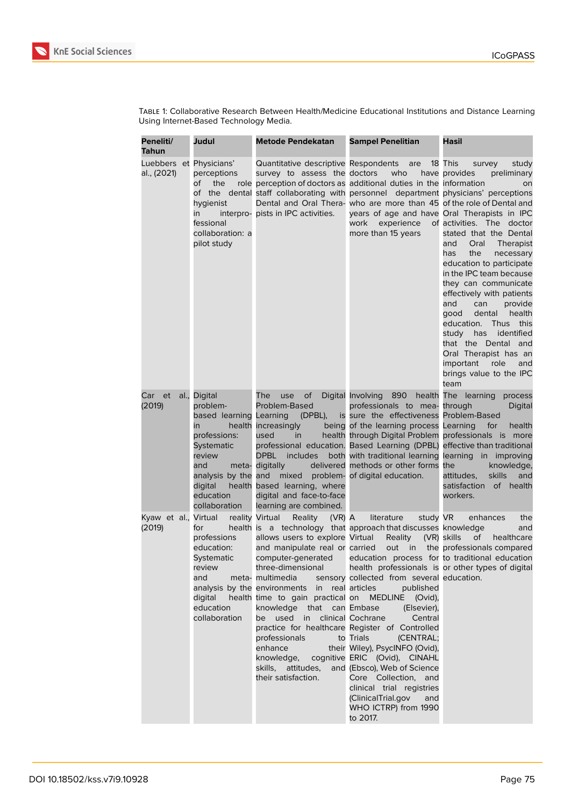

Table 1: Collaborative Research Between Health/Medicine Educational Institutions and Distance Learning Using Internet-Based Technology Media.

| Peneliti/<br>Tahun                     | Judul                                                                                                                                                                                    | <b>Metode Pendekatan</b>                                                                                                                                                                                                                                                                                                                                                                                                           | <b>Sampel Penelitian</b>                                                                                                                                                                                                                                                                                                                                                                                                                                                                                                                                                            | Hasil                                                                                                                                                                                                                                                                                                                                                                                                                                                                                                                             |
|----------------------------------------|------------------------------------------------------------------------------------------------------------------------------------------------------------------------------------------|------------------------------------------------------------------------------------------------------------------------------------------------------------------------------------------------------------------------------------------------------------------------------------------------------------------------------------------------------------------------------------------------------------------------------------|-------------------------------------------------------------------------------------------------------------------------------------------------------------------------------------------------------------------------------------------------------------------------------------------------------------------------------------------------------------------------------------------------------------------------------------------------------------------------------------------------------------------------------------------------------------------------------------|-----------------------------------------------------------------------------------------------------------------------------------------------------------------------------------------------------------------------------------------------------------------------------------------------------------------------------------------------------------------------------------------------------------------------------------------------------------------------------------------------------------------------------------|
| Luebbers et Physicians'<br>al., (2021) | perceptions<br>of<br>the<br>hygienist<br>in<br>fessional<br>collaboration: a<br>pilot study                                                                                              | Quantitative descriptive Respondents are<br>survey to assess the doctors<br>interpro- pists in IPC activities.                                                                                                                                                                                                                                                                                                                     | who<br>role perception of doctors as additional duties in the information<br>of the dental staff collaborating with personnel department physicians' perceptions<br>Dental and Oral Thera- who are more than 45 of the role of Dental and<br>years of age and have Oral Therapists in IPC<br>work<br>experience<br>more than 15 years                                                                                                                                                                                                                                               | 18 This<br>survey<br>study<br>have provides<br>preliminary<br>on<br>of activities. The doctor<br>stated that the Dental<br>and<br>Oral<br><b>Therapist</b><br>the<br>has<br>necessary<br>education to participate<br>in the IPC team because<br>they can communicate<br>effectively with patients<br>and<br>can<br>provide<br>health<br>good<br>dental<br>this<br>education.<br>Thus<br>study<br>has<br>identified<br>that the Dental and<br>Oral Therapist has an<br>important<br>role<br>and<br>brings value to the IPC<br>team |
| Car et<br>(2019)                       | al., Digital<br>problem-<br>based learning Learning<br>in<br>professions:<br><b>Systematic</b><br>review<br>and<br>meta-<br>analysis by the and<br>digital<br>education<br>collaboration | The<br>use<br>οf<br>Problem-Based<br>(DPBL),<br>health increasingly<br>used<br>in<br><b>DPBL</b><br>includes<br>digitally<br>mixed<br>health based learning, where<br>digital and face-to-face<br>learning are combined.                                                                                                                                                                                                           | Digital Involving 890 health The learning process<br>professionals to mea-<br>is sure the effectiveness Problem-Based<br>being of the learning process Learning<br>health through Digital Problem professionals is more<br>professional education. Based Learning (DPBL) effective than traditional<br>both with traditional learning<br>delivered methods or other forms the<br>problem- of digital education.                                                                                                                                                                     | through<br>Digital<br>for<br>health<br>learning in improving<br>knowledge,<br><b>skills</b><br>attitudes.<br>and<br>satisfaction<br>of health<br>workers.                                                                                                                                                                                                                                                                                                                                                                         |
| Kyaw et al., Virtual<br>(2019)         | for<br>professions<br>education:<br><b>Systematic</b><br>review<br>and<br>digital<br>education<br>collaboration                                                                          | reality Virtual<br><b>Reality</b><br>$(VR)$ A<br>allows users to explore Virtual<br>and manipulate real or carried<br>computer-generated<br>three-dimensional<br>meta- multimedia<br>analysis by the environments in real articles<br>health time to gain practical on<br>knowledge that can Embase<br>used<br>in clinical Cochrane<br>be l<br>professionals<br>enhance<br>knowledge,<br>skills, attitudes,<br>their satisfaction. | literature<br>study VR<br>health is a technology that approach that discusses knowledge<br>Reality<br>out in<br>education process for to traditional education<br>sensory collected from several education.<br>published<br><b>MEDLINE</b><br>(Ovid),<br>(Elsevier),<br>Central<br>practice for healthcare Register of Controlled<br>to Trials<br>(CENTRAL;<br>their Wiley), PsycINFO (Ovid),<br>cognitive ERIC (Ovid), CINAHL<br>and (Ebsco), Web of Science<br>Core Collection, and<br>clinical trial registries<br>(ClinicalTrial.gov<br>and<br>WHO ICTRP) from 1990<br>to 2017. | enhances<br>the<br>and<br>(VR) skills<br>of<br>healthcare<br>the professionals compared<br>health professionals is or other types of digital                                                                                                                                                                                                                                                                                                                                                                                      |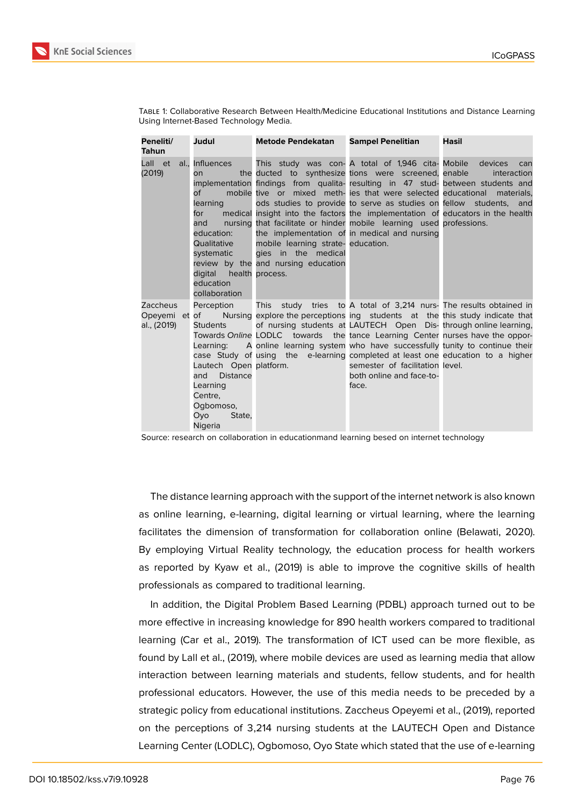

| TABLE 1: Collaborative Research Between Health/Medicine Educational Institutions and Distance Learning |  |  |  |
|--------------------------------------------------------------------------------------------------------|--|--|--|
| Using Internet-Based Technology Media.                                                                 |  |  |  |

| Peneliti/<br><b>Tahun</b>                | Judul                                                                                                                                                      | Metode Pendekatan Sampel Penelitian                                                              |                                                                                                                                                                                                                                                                                                                                                                                                                                                                                                                                                         | Hasil                                       |
|------------------------------------------|------------------------------------------------------------------------------------------------------------------------------------------------------------|--------------------------------------------------------------------------------------------------|---------------------------------------------------------------------------------------------------------------------------------------------------------------------------------------------------------------------------------------------------------------------------------------------------------------------------------------------------------------------------------------------------------------------------------------------------------------------------------------------------------------------------------------------------------|---------------------------------------------|
| Lall et<br>(2019)                        | al., Influences<br>on.<br>of<br>learning<br>for<br>and<br>education:<br>Qualitative<br>systematic<br>digital health process.<br>education<br>collaboration | mobile learning strate- education.<br>gies in the medical<br>review by the and nursing education | This study was con- A total of 1,946 cita- Mobile<br>the ducted to synthesize tions were screened, enable<br>implementation findings from qualita-resulting in 47 stud- between students and<br>mobile tive or mixed meth- ies that were selected educational<br>ods studies to provide to serve as studies on fellow students, and<br>medical insight into the factors the implementation of educators in the health<br>nursing that facilitate or hinder mobile learning used professions.<br>the implementation of in medical and nursing            | devices<br>can<br>interaction<br>materials. |
| Zaccheus<br>Opeyemi et of<br>al., (2019) | Perception<br><b>Students</b><br>Lautech Open platform.<br><b>Distance</b><br>and<br>Learning<br>Centre,<br>Ogbomoso,<br>Ovo<br>State,<br>Nigeria          |                                                                                                  | This study tries to A total of 3,214 nurs- The results obtained in<br>Nursing explore the perceptions ing students at the this study indicate that<br>of nursing students at LAUTECH Open Dis-through online learning,<br>Towards Online LODLC towards the tance Learning Center nurses have the oppor-<br>Learning: A online learning system who have successfully tunity to continue their<br>case Study of using the e-learning completed at least one education to a higher<br>semester of facilitation level.<br>both online and face-to-<br>face. |                                             |

Source: research on collaboration in educationmand learning besed on internet technology

The distance learning approach with the support of the internet network is also known as online learning, e-learning, digital learning or virtual learning, where the learning facilitates the dimension of transformation for collaboration online (Belawati, 2020). By employing Virtual Reality technology, the education process for health workers as reported by Kyaw et al., (2019) is able to improve the cognitive skills of health professionals as compared to traditional learning.

In addition, the Digital Problem Based Learning (PDBL) approach turned out to be more effective in increasing knowledge for 890 health workers compared to traditional learning (Car et al., 2019). The transformation of ICT used can be more flexible, as found by Lall et al., (2019), where mobile devices are used as learning media that allow interaction between learning materials and students, fellow students, and for health professional educators. However, the use of this media needs to be preceded by a strategic policy from educational institutions. Zaccheus Opeyemi et al., (2019), reported on the perceptions of 3,214 nursing students at the LAUTECH Open and Distance Learning Center (LODLC), Ogbomoso, Oyo State which stated that the use of e-learning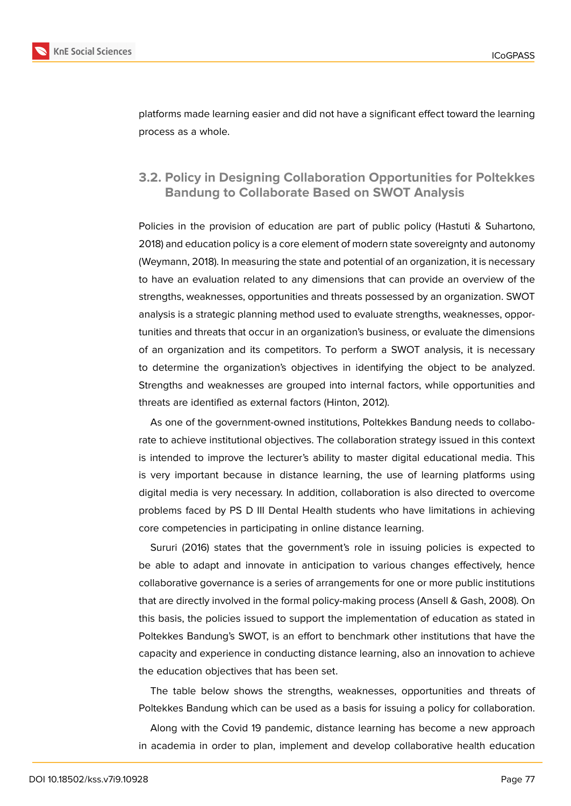

platforms made learning easier and did not have a significant effect toward the learning process as a whole.

## **3.2. Policy in Designing Collaboration Opportunities for Poltekkes Bandung to Collaborate Based on SWOT Analysis**

Policies in the provision of education are part of public policy (Hastuti & Suhartono, 2018) and education policy is a core element of modern state sovereignty and autonomy (Weymann, 2018). In measuring the state and potential of an organization, it is necessary to have an evaluation related to any dimensions that can provide an overview of the strengths, weaknesses, opportunities and threats possessed by an organization. SWOT analysis is a strategic planning method used to evaluate strengths, weaknesses, opportunities and threats that occur in an organization's business, or evaluate the dimensions of an organization and its competitors. To perform a SWOT analysis, it is necessary to determine the organization's objectives in identifying the object to be analyzed. Strengths and weaknesses are grouped into internal factors, while opportunities and threats are identified as external factors (Hinton, 2012).

As one of the government-owned institutions, Poltekkes Bandung needs to collaborate to achieve institutional objectives. The collaboration strategy issued in this context is intended to improve the lecturer's ability to master digital educational media. This is very important because in distance learning, the use of learning platforms using digital media is very necessary. In addition, collaboration is also directed to overcome problems faced by PS D III Dental Health students who have limitations in achieving core competencies in participating in online distance learning.

Sururi (2016) states that the government's role in issuing policies is expected to be able to adapt and innovate in anticipation to various changes effectively, hence collaborative governance is a series of arrangements for one or more public institutions that are directly involved in the formal policy-making process (Ansell & Gash, 2008). On this basis, the policies issued to support the implementation of education as stated in Poltekkes Bandung's SWOT, is an effort to benchmark other institutions that have the capacity and experience in conducting distance learning, also an innovation to achieve the education objectives that has been set.

The table below shows the strengths, weaknesses, opportunities and threats of Poltekkes Bandung which can be used as a basis for issuing a policy for collaboration.

Along with the Covid 19 pandemic, distance learning has become a new approach in academia in order to plan, implement and develop collaborative health education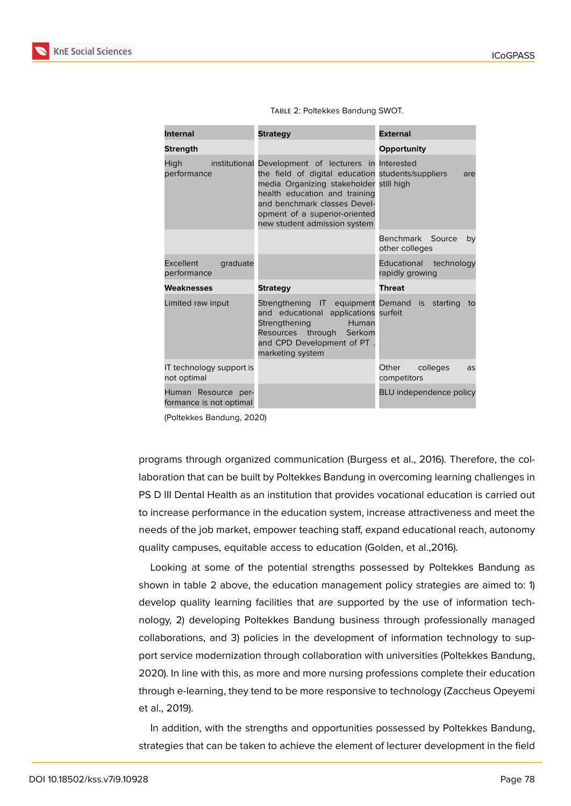

| <b>Internal</b>                                | <b>Strategy</b>                                                                                                                                                                                                                                                                        | <b>External</b>                           |
|------------------------------------------------|----------------------------------------------------------------------------------------------------------------------------------------------------------------------------------------------------------------------------------------------------------------------------------------|-------------------------------------------|
| <b>Strength</b>                                |                                                                                                                                                                                                                                                                                        | Opportunity                               |
| High<br>performance                            | institutional Development of lecturers in Interested<br>the field of digital education students/suppliers<br>media Organizing stakeholder still high<br>health education and training<br>and benchmark classes Devel-<br>opment of a superior-oriented<br>new student admission system | are                                       |
|                                                |                                                                                                                                                                                                                                                                                        | Benchmark Source<br>by<br>other colleges  |
| <b>Excellent</b><br>graduate<br>performance    |                                                                                                                                                                                                                                                                                        | Educational technology<br>rapidly growing |
| Weaknesses                                     | <b>Strategy</b>                                                                                                                                                                                                                                                                        | <b>Threat</b>                             |
| Limited raw input                              | Strengthening IT equipment Demand is starting to<br>and educational applications surfeit<br>Human<br>Strengthening<br>Resources through Serkom<br>and CPD Development of PT.<br>marketing system                                                                                       |                                           |
| IT technology support is<br>not optimal        |                                                                                                                                                                                                                                                                                        | Other<br>colleges<br>as<br>competitors    |
| Human Resource per-<br>formance is not optimal |                                                                                                                                                                                                                                                                                        | <b>BLU</b> independence policy            |

Table 2: Poltekkes Bandung SWOT.

(Poltekkes Bandung, 2020)

programs through organized communication (Burgess et al., 2016). Therefore, the collaboration that can be built by Poltekkes Bandung in overcoming learning challenges in PS D III Dental Health as an institution that provides vocational education is carried out to increase performance in the education system, increase attractiveness and meet the needs of the job market, empower teaching staff, expand educational reach, autonomy quality campuses, equitable access to education (Golden, et al.,2016).

Looking at some of the potential strengths possessed by Poltekkes Bandung as shown in table 2 above, the education management policy strategies are aimed to: 1) develop quality learning facilities that are supported by the use of information technology, 2) developing Poltekkes Bandung business through professionally managed collaborations, and 3) policies in the development of information technology to support service modernization through collaboration with universities (Poltekkes Bandung, 2020). In line with this, as more and more nursing professions complete their education through e-learning, they tend to be more responsive to technology (Zaccheus Opeyemi et al., 2019).

In addition, with the strengths and opportunities possessed by Poltekkes Bandung, strategies that can be taken to achieve the element of lecturer development in the field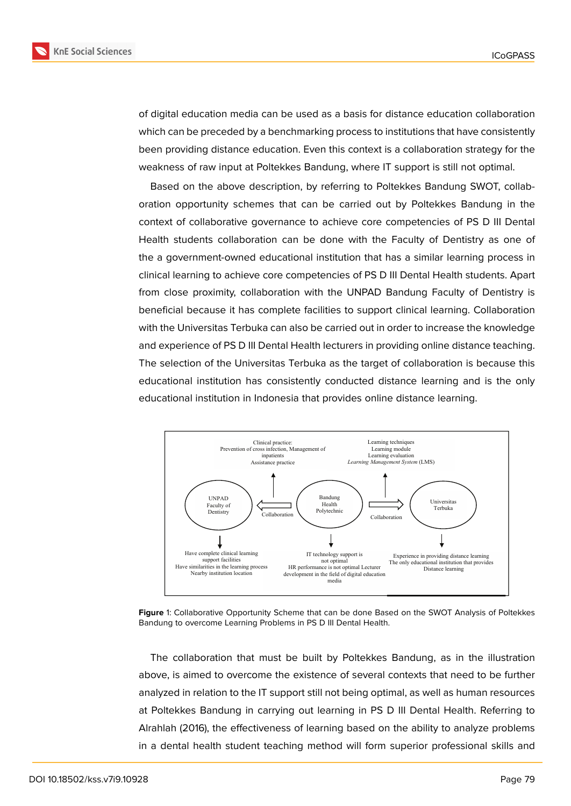

of digital education media can be used as a basis for distance education collaboration which can be preceded by a benchmarking process to institutions that have consistently been providing distance education. Even this context is a collaboration strategy for the weakness of raw input at Poltekkes Bandung, where IT support is still not optimal.

Based on the above description, by referring to Poltekkes Bandung SWOT, collaboration opportunity schemes that can be carried out by Poltekkes Bandung in the context of collaborative governance to achieve core competencies of PS D III Dental Health students collaboration can be done with the Faculty of Dentistry as one of the a government-owned educational institution that has a similar learning process in clinical learning to achieve core competencies of PS D III Dental Health students. Apart from close proximity, collaboration with the UNPAD Bandung Faculty of Dentistry is beneficial because it has complete facilities to support clinical learning. Collaboration with the Universitas Terbuka can also be carried out in order to increase the knowledge and experience of PS D III Dental Health lecturers in providing online distance teaching. The selection of the Universitas Terbuka as the target of collaboration is because this educational institution has consistently conducted distance learning and is the only educational institution in Indonesia that provides online distance learning.



**Figure** 1: Collaborative Opportunity Scheme that can be done Based on the SWOT Analysis of Poltekkes Bandung to overcome Learning Problems in PS D III Dental Health.

The collaboration that must be built by Poltekkes Bandung, as in the illustration above, is aimed to overcome the existence of several contexts that need to be further analyzed in relation to the IT support still not being optimal, as well as human resources at Poltekkes Bandung in carrying out learning in PS D III Dental Health. Referring to Alrahlah (2016), the effectiveness of learning based on the ability to analyze problems in a dental health student teaching method will form superior professional skills and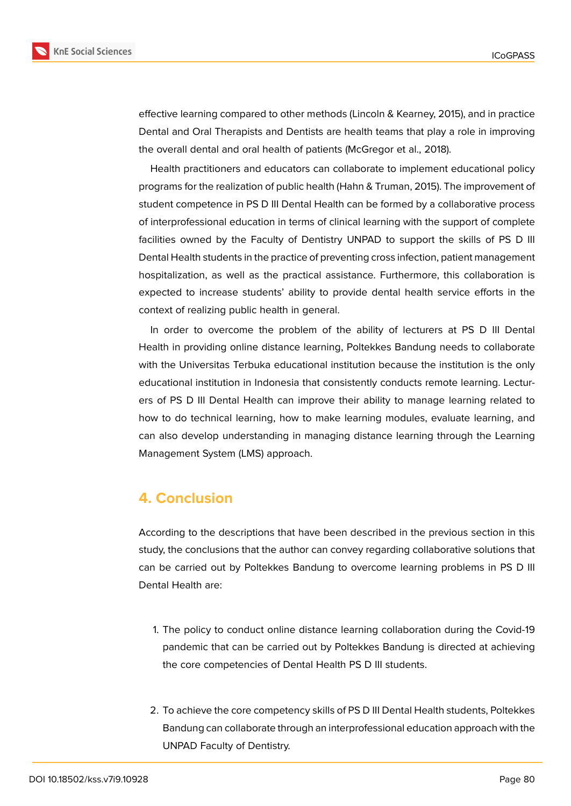

effective learning compared to other methods (Lincoln & Kearney, 2015), and in practice Dental and Oral Therapists and Dentists are health teams that play a role in improving the overall dental and oral health of patients (McGregor et al., 2018).

Health practitioners and educators can collaborate to implement educational policy programs for the realization of public health (Hahn & Truman, 2015). The improvement of student competence in PS D III Dental Health can be formed by a collaborative process of interprofessional education in terms of clinical learning with the support of complete facilities owned by the Faculty of Dentistry UNPAD to support the skills of PS D III Dental Health students in the practice of preventing cross infection, patient management hospitalization, as well as the practical assistance. Furthermore, this collaboration is expected to increase students' ability to provide dental health service efforts in the context of realizing public health in general.

In order to overcome the problem of the ability of lecturers at PS D III Dental Health in providing online distance learning, Poltekkes Bandung needs to collaborate with the Universitas Terbuka educational institution because the institution is the only educational institution in Indonesia that consistently conducts remote learning. Lecturers of PS D III Dental Health can improve their ability to manage learning related to how to do technical learning, how to make learning modules, evaluate learning, and can also develop understanding in managing distance learning through the Learning Management System (LMS) approach.

## **4. Conclusion**

According to the descriptions that have been described in the previous section in this study, the conclusions that the author can convey regarding collaborative solutions that can be carried out by Poltekkes Bandung to overcome learning problems in PS D III Dental Health are:

- 1. The policy to conduct online distance learning collaboration during the Covid-19 pandemic that can be carried out by Poltekkes Bandung is directed at achieving the core competencies of Dental Health PS D III students.
- 2. To achieve the core competency skills of PS D III Dental Health students, Poltekkes Bandung can collaborate through an interprofessional education approach with the UNPAD Faculty of Dentistry.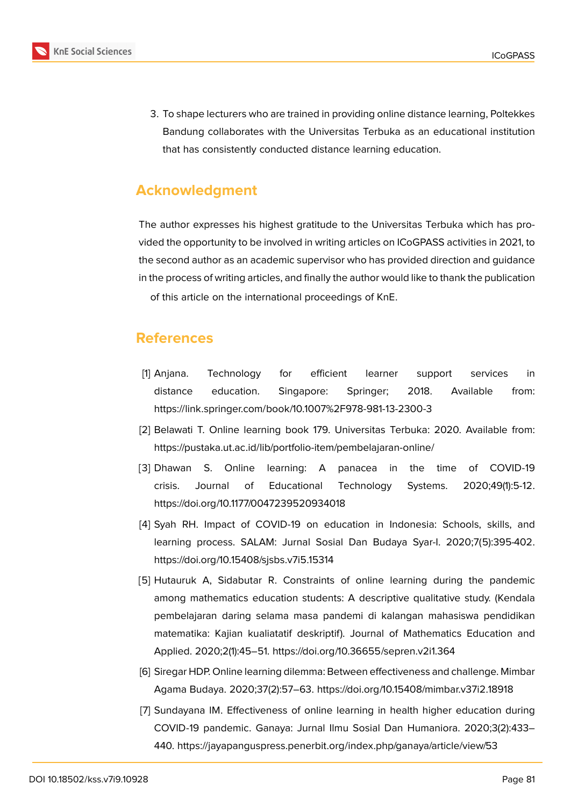

3. To shape lecturers who are trained in providing online distance learning, Poltekkes Bandung collaborates with the Universitas Terbuka as an educational institution that has consistently conducted distance learning education.

## **Acknowledgment**

The author expresses his highest gratitude to the Universitas Terbuka which has provided the opportunity to be involved in writing articles on ICoGPASS activities in 2021, to the second author as an academic supervisor who has provided direction and guidance in the process of writing articles, and finally the author would like to thank the publication of this article on the international proceedings of KnE.

## **References**

- [1] Anjana. Technology for efficient learner support services in distance education. Singapore: Springer; 2018. Available from: https://link.springer.com/book/10.1007%2F978-981-13-2300-3
- [2] Belawati T. Online learning book 179. Universitas Terbuka: 2020. Available from: https://pustaka.ut.ac.id/lib/portfolio-item/pembelajaran-online/
- [3] Dhawan S. Online learning: A panacea in the time of COVID-19 crisis. Journal of Educational Technology Systems. 2020;49(1):5-12. https://doi.org/10.1177/0047239520934018
- [4] Syah RH. Impact of COVID-19 on education in Indonesia: Schools, skills, and learning process. SALAM: Jurnal Sosial Dan Budaya Syar-I. 2020;7(5):395-402. https://doi.org/10.15408/sjsbs.v7i5.15314
- [5] Hutauruk A, Sidabutar R. Constraints of online learning during the pandemic among mathematics education students: A descriptive qualitative study. (Kendala pembelajaran daring selama masa pandemi di kalangan mahasiswa pendidikan matematika: Kajian kualiatatif deskriptif). Journal of Mathematics Education and Applied. 2020;2(1):45–51. https://doi.org/10.36655/sepren.v2i1.364
- [6] Siregar HDP. Online learning dilemma: Between effectiveness and challenge. Mimbar Agama Budaya. 2020;37(2):57–63. https://doi.org/10.15408/mimbar.v37i2.18918
- [7] Sundayana IM. Effectiveness of online learning in health higher education during COVID-19 pandemic. Ganaya: Jurnal Ilmu Sosial Dan Humaniora. 2020;3(2):433– 440. https://jayapanguspress.penerbit.org/index.php/ganaya/article/view/53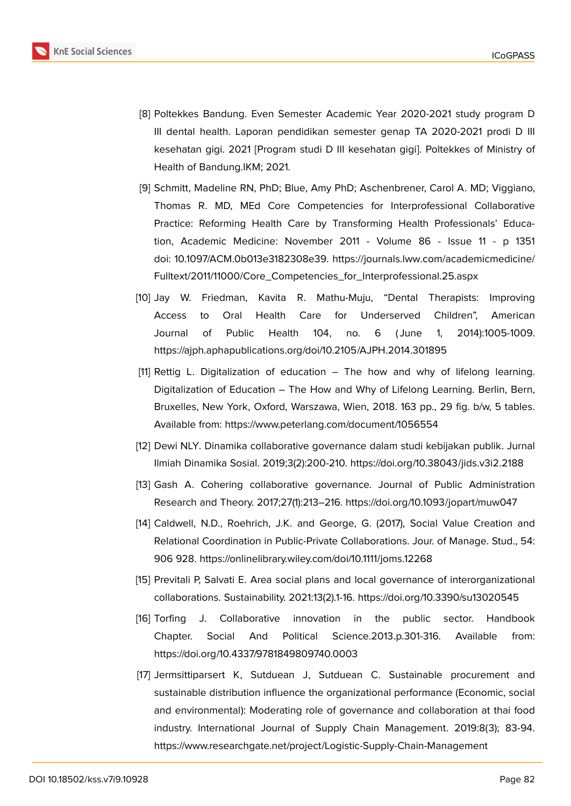- [8] Poltekkes Bandung. Even Semester Academic Year 2020-2021 study program D III dental health. Laporan pendidikan semester genap TA 2020-2021 prodi D III kesehatan gigi. 2021 [Program studi D III kesehatan gigi]. Poltekkes of Ministry of Health of Bandung.IKM; 2021.
- [9] Schmitt, Madeline RN, PhD; Blue, Amy PhD; Aschenbrener, Carol A. MD; Viggiano, Thomas R. MD, MEd Core Competencies for Interprofessional Collaborative Practice: Reforming Health Care by Transforming Health Professionals' Education, Academic Medicine: November 2011 - Volume 86 - Issue 11 - p 1351 doi: 10.1097/ACM.0b013e3182308e39. https://journals.lww.com/academicmedicine/ Fulltext/2011/11000/Core\_Competencies\_for\_Interprofessional.25.aspx
- [10] Jay W. Friedman, Kavita R. Mathu-Muju, "Dental Therapists: Improving Access to Oral Health Care [for Underserved Children", American](https://journals.lww.com/academicmedicine/Fulltext/2011/11000/Core_Competencies_for_Interprofessional.25.aspx) [Journal of Public Health 104, no. 6 \( June 1, 2014](https://journals.lww.com/academicmedicine/Fulltext/2011/11000/Core_Competencies_for_Interprofessional.25.aspx)):1005-1009. https://ajph.aphapublications.org/doi/10.2105/AJPH.2014.301895
- [11] Rettig L. Digitalization of education The how and why of lifelong learning. Digitalization of Education – The How and Why of Lifelong Learning. Berlin, Bern, Bruxelles, New York, Oxford, Warszawa, Wien, 2018. 163 pp., 29 fig. b/w, 5 tables. Available from: https://www.peterlang.com/document/1056554
- [12] Dewi NLY. Dinamika collaborative governance dalam studi kebijakan publik. Jurnal Ilmiah Dinamika Sosial. 2019;3(2):200-210. https://doi.org/10.38043/jids.v3i2.2188
- [13] Gash A. Cohering collaborative governance. Journal of Public Administration Research and Theory. 2017;27(1):213–216. https://doi.org/10.1093/jopart/muw047
- [14] Caldwell, N.D., Roehrich, J.K. and George, G. (2017), Social Value Creation and Relational Coordination in Public-Private Collaborations. Jour. of Manage. Stud., 54: 906 928. https://onlinelibrary.wiley.com/doi/10.1111/joms.12268
- [15] Previtali P, Salvati E. Area social plans and local governance of interorganizational collaborations. Sustainability. 2021:13(2).1-16. https://doi.org/10.3390/su13020545
- [16] Torfing J. Collaborative innovation in the public sector. Handbook Chapter. Social And Political Science.2013.p.301-316. Available from: https://doi.org/10.4337/9781849809740.0003
- [17] Jermsittiparsert K, Sutduean J, Sutduean C. Sustainable procurement and sustainable distribution influence the organizational performance (Economic, social and environmental): Moderating role of governance and collaboration at thai food industry. International Journal of Supply Chain Management. 2019:8(3); 83-94. https://www.researchgate.net/project/Logistic-Supply-Chain-Management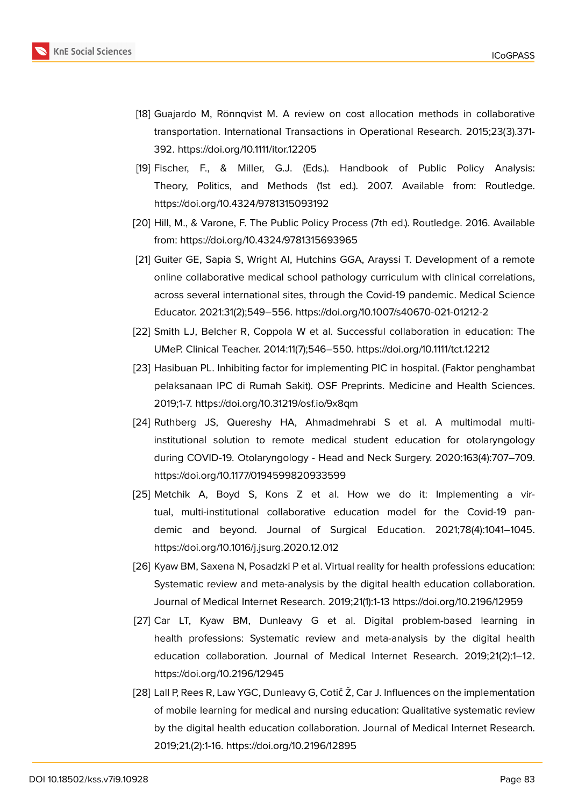

- [18] Guajardo M, Rönnqvist M. A review on cost allocation methods in collaborative transportation. International Transactions in Operational Research. 2015;23(3).371- 392. https://doi.org/10.1111/itor.12205
- [19] Fischer, F., & Miller, G.J. (Eds.). Handbook of Public Policy Analysis: Theory, Politics, and Methods (1st ed.). 2007. Available from: Routledge. https://doi.org/10.4324/9781315093192
- [20] Hill, M., & Varone, F. The Public Policy Process (7th ed.). Routledge. 2016. Available from: https://doi.org/10.4324/9781315693965
- [21] Guiter GE, Sapia S, Wright AI, Hutchins GGA, Arayssi T. Development of a remote online collaborative medical school pathology curriculum with clinical correlations, across several international sites, through the Covid-19 pandemic. Medical Science Educator. 2021:31(2);549–556. https://doi.org/10.1007/s40670-021-01212-2
- [22] Smith LJ, Belcher R, Coppola W et al. Successful collaboration in education: The UMeP. Clinical Teacher. 2014:11(7);546–550. https://doi.org/10.1111/tct.12212
- [23] Hasibuan PL. Inhibiting factor for implementing PIC in hospital. (Faktor penghambat pelaksanaan IPC di Rumah Sakit). OSF Preprints. Medicine and Health Sciences. 2019;1-7. https://doi.org/10.31219/osf.io/9x8qm
- [24] Ruthberg JS, Quereshy HA, Ahmadmehrabi S et al. A multimodal multiinstitutional solution to remote medical student education for otolaryngology during COVID-19. Otolaryngology - Head and Neck Surgery. 2020:163(4):707–709. https://doi.org/10.1177/0194599820933599
- [25] Metchik A, Boyd S, Kons Z et al. How we do it: Implementing a virtual, multi-institutional collaborative education model for the Covid-19 pandemic and beyond. Journal of Surgical Education. 2021;78(4):1041–1045. https://doi.org/10.1016/j.jsurg.2020.12.012
- [26] Kyaw BM, Saxena N, Posadzki P et al. Virtual reality for health professions education: Systematic review and meta-analysis by the digital health education collaboration. Journal of Medical Internet Research. 2019;21(1):1-13 https://doi.org/10.2196/12959
- [27] Car LT, Kyaw BM, Dunleavy G et al. Digital problem-based learning in health professions: Systematic review and meta-analysis by the digital health education collaboration. Journal of Medical Internet Research. 2019;21(2):1–12. https://doi.org/10.2196/12945
- [28] Lall P, Rees R, Law YGC, Dunleavy G, Cotič Ž, Car J. Influences on the implementation of mobile learning for medical and nursing education: Qualitative systematic review by the digital health education collaboration. Journal of Medical Internet Research. 2019;21.(2):1-16. https://doi.org/10.2196/12895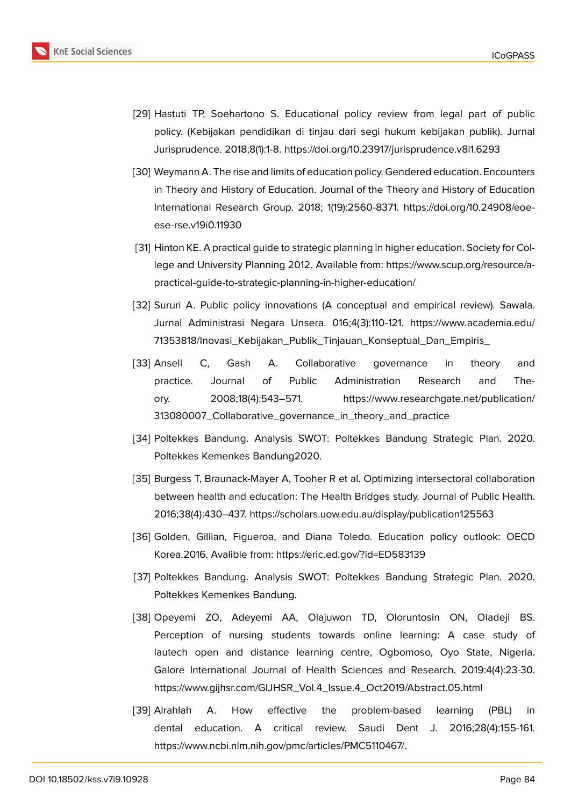- [29] Hastuti TP, Soehartono S. Educational policy review from legal part of public policy. (Kebijakan pendidikan di tinjau dari segi hukum kebijakan publik). Jurnal Jurisprudence. 2018;8(1):1-8. https://doi.org/10.23917/jurisprudence.v8i1.6293
- [30] Weymann A. The rise and limits of education policy. Gendered education. Encounters in Theory and History of Education. Journal of the Theory and History of Education International Research Group. 2018; 1(19):2560-8371. https://doi.org/10.24908/eoeese-rse.v19i0.11930
- [31] Hinton KE. A practical guide to strategic planning in higher education. Society for College and University Planning 2012. Available from: https://www.scup.org/resource/apractical-guide-to-strategic-planning-in-higher-education/
- [32] Sururi A. Public policy innovations (A conceptual and empirical review). Sawala. Jurnal Administrasi Negara Unsera. 016;4(3):110-121. https://www.academia.edu/ 71353818/Inovasi\_Kebijakan\_Publik\_Tinjauan\_Konseptual\_Dan\_Empiris\_
- [33] Ansell C, Gash A. Collaborative govern[ance in theory and](https://www.academia.edu/71353818/Inovasi_Kebijakan_Publik_Tinjauan_Konseptual_Dan_Empiris_) [practice. Journal of Public Administration Research an](https://www.academia.edu/71353818/Inovasi_Kebijakan_Publik_Tinjauan_Konseptual_Dan_Empiris_)d Theory. 2008;18(4):543–571. https://www.researchgate.net/publication/ 313080007\_Collaborative\_governance\_in\_theory\_and\_practice
- [34] Poltekkes Bandung. Analysis SWOT: P[oltekkes Bandung Strategic Plan. 2020.](https://www.researchgate.net/publication/313080007_Collaborative_governance_in_theory_and_practice) [Poltekkes Kemenkes Bandung2020.](https://www.researchgate.net/publication/313080007_Collaborative_governance_in_theory_and_practice)
- [35] Burgess T, Braunack-Mayer A, Tooher R et al. Optimizing intersectoral collaboration between health and education: The Health Bridges study. Journal of Public Health. 2016;38(4):430–437. https://scholars.uow.edu.au/display/publication125563
- [36] Golden, Gillian, Figueroa, and Diana Toledo. Education policy outlook: OECD Korea.2016. Avalible from: https://eric.ed.gov/?id=ED583139
- [37] Poltekkes Bandung. Analysis SWOT: Poltekkes Bandung Strategic Plan. 2020. Poltekkes Kemenkes Bandung.
- [38] Opeyemi ZO, Adeyemi AA, Olajuwon TD, Oloruntosin ON, Oladeji BS. Perception of nursing students towards online learning: A case study of lautech open and distance learning centre, Ogbomoso, Oyo State, Nigeria. Galore International Journal of Health Sciences and Research. 2019:4(4):23-30. https://www.gijhsr.com/GIJHSR\_Vol.4\_Issue.4\_Oct2019/Abstract.05.html
- [39] Alrahlah A. How effective the problem-based learning (PBL) in dental education. A critical review. Saudi Dent J. 2016;28(4):155-161. https://www.ncbi.nlm.nih.gov/pmc/articles/PMC5110467/.